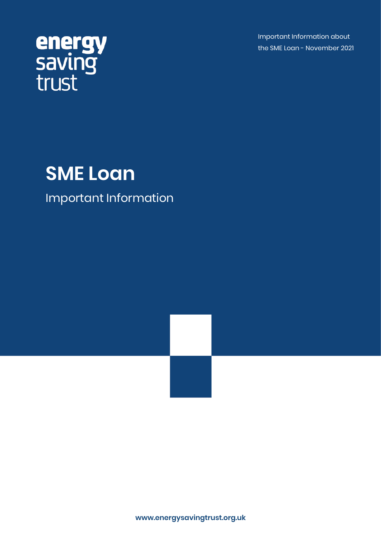Important Information about the SME Loan - November 2021

# energy<br>saving<br>trust

## **SME Loan**

### Important Information

**www.energysavingtrust.org.uk**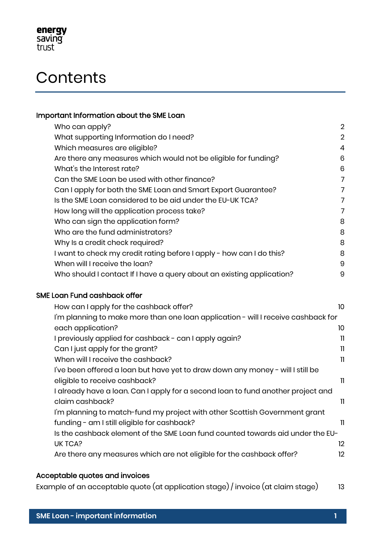

## **Contents**

#### Important Information about the SME Loan

| Who can apply?                                                        | $\overline{2}$ |
|-----------------------------------------------------------------------|----------------|
| What supporting Information do I need?                                | $\overline{2}$ |
| Which measures are eligible?                                          | 4              |
| Are there any measures which would not be eligible for funding?       | 6              |
| What's the Interest rate?                                             | 6              |
| Can the SME Loan be used with other finance?                          | 7              |
| Can I apply for both the SME Loan and Smart Export Guarantee?         | 7              |
| Is the SME Loan considered to be aid under the EU-UK TCA?             | 7              |
| How long will the application process take?                           | 7              |
| Who can sign the application form?                                    | 8              |
| Who are the fund administrators?                                      | 8              |
| Why Is a credit check required?                                       | 8              |
| I want to check my credit rating before I apply - how can I do this?  | 8              |
| When will I receive the loan?                                         | 9              |
| Who should I contact If I have a query about an existing application? | 9              |

#### SME Loan Fund cashback offer

| How can I apply for the cashback offer?                                           | 10 |
|-----------------------------------------------------------------------------------|----|
| I'm planning to make more than one loan application - will I receive cashback for |    |
| each application?                                                                 | 10 |
| I previously applied for cashback - can I apply again?                            | 11 |
| Can I just apply for the grant?                                                   | 11 |
| When will I receive the cashback?                                                 | 11 |
| I've been offered a loan but have yet to draw down any money - will I still be    |    |
| eligible to receive cashback?                                                     | 11 |
| I already have a loan. Can I apply for a second loan to fund another project and  |    |
| claim cashback?                                                                   | 11 |
| I'm planning to match-fund my project with other Scottish Government grant        |    |
| funding - am I still eligible for cashback?                                       | 11 |
| Is the cashback element of the SME Loan fund counted towards aid under the EU-    |    |
| UK TCA?                                                                           | 12 |
| Are there any measures which are not eligible for the cashback offer?             | 12 |
|                                                                                   |    |

#### Acceptable quotes and invoices

Example of an acceptable quote (at application stage) / invoice (at claim stage) 13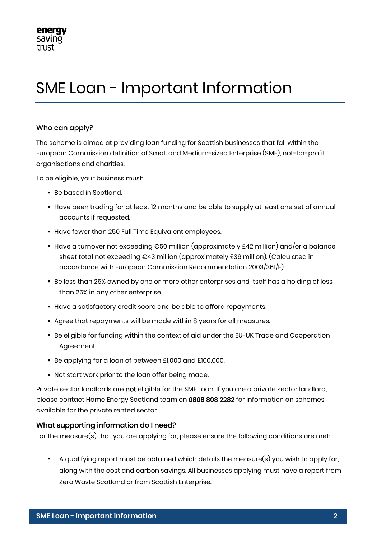## SME Loan - Important Information

#### Who can apply?

The scheme is aimed at providing loan funding for Scottish businesses that fall within the European Commission definition of Small and Medium-sized Enterprise (SME), not-for-profit organisations and charities.

To be eligible, your business must:

- Be based in Scotland.
- Have been trading for at least 12 months and be able to supply at least one set of annual accounts if requested.
- Have fewer than 250 Full Time Equivalent employees.
- Have a turnover not exceeding  $\epsilon$ 50 million (approximately £42 million) and/or a balance sheet total not exceeding €43 million (approximately £36 million). (Calculated in accordance with European Commission Recommendation 2003/361/E).
- Be less than 25% owned by one or more other enterprises and itself has a holding of less than 25% in any other enterprise.
- Have a satisfactory credit score and be able to afford repayments.
- Agree that repayments will be made within 8 years for all measures.
- Be eligible for funding within the context of aid under the EU-UK Trade and Cooperation Agreement.
- Be applying for a loan of between £1,000 and £100,000.
- Not start work prior to the loan offer being made.

Private sector landlords are not eligible for the SME Loan. If you are a private sector landlord, please contact Home Energy Scotland team on 0808 808 2282 for information on schemes available for the private rented sector.

#### What supporting information do I need?

For the measure(s) that you are applying for, please ensure the following conditions are met:

A qualifying report must be obtained which details the measure(s) you wish to apply for, along with the cost and carbon savings. All businesses applying must have a report from Zero Waste Scotland or from Scottish Enterprise.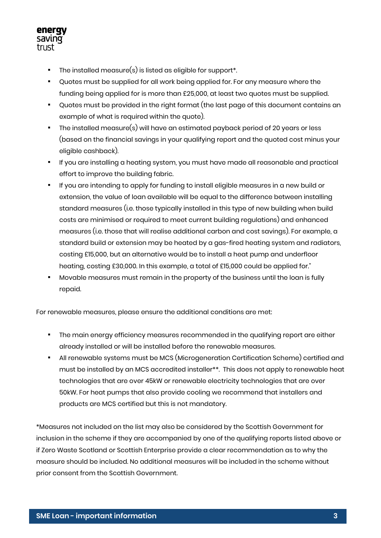

- $\blacksquare$  The installed measure(s) is listed as eligible for support\*.
- Quotes must be supplied for all work being applied for. For any measure where the funding being applied for is more than £25,000, at least two quotes must be supplied.
- Quotes must be provided in the right format (the last page of this document contains an example of what is required within the quote).
- The installed measure(s) will have an estimated payback period of 20 years or less (based on the financial savings in your qualifying report and the quoted cost minus your eligible cashback).
- If you are installing a heating system, you must have made all reasonable and practical effort to improve the building fabric.
- If you are intending to apply for funding to install eligible measures in a new build or extension, the value of loan available will be equal to the difference between installing standard measures (i.e. those typically installed in this type of new building when build costs are minimised or required to meet current building regulations) and enhanced measures (i.e. those that will realise additional carbon and cost savings). For example, a standard build or extension may be heated by a gas-fired heating system and radiators, costing £15,000, but an alternative would be to install a heat pump and underfloor heating, costing £30,000. In this example, a total of £15,000 could be applied for."
- Movable measures must remain in the property of the business until the loan is fully repaid.

For renewable measures, please ensure the additional conditions are met:

- The main energy efficiency measures recommended in the qualifying report are either already installed or will be installed before the renewable measures.
- All renewable systems must be MCS (Microgeneration Certification Scheme) certified and must be installed by an MCS accredited installer\*\*. This does not apply to renewable heat technologies that are over 45kW or renewable electricity technologies that are over 50kW. For heat pumps that also provide cooling we recommend that installers and products are MCS certified but this is not mandatory.

\*Measures not included on the list may also be considered by the Scottish Government for inclusion in the scheme if they are accompanied by one of the qualifying reports listed above or if Zero Waste Scotland or Scottish Enterprise provide a clear recommendation as to why the measure should be included. No additional measures will be included in the scheme without prior consent from the Scottish Government.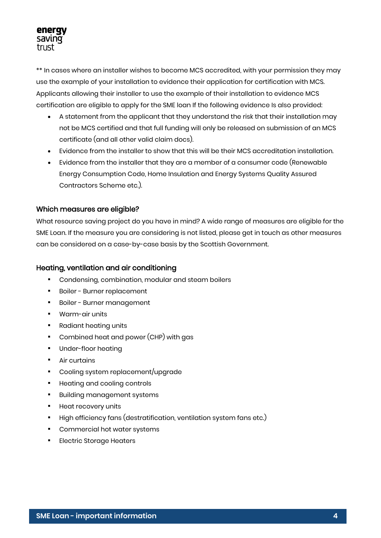\*\* In cases where an installer wishes to become MCS accredited, with your permission they may use the example of your installation to evidence their application for certification with MCS. Applicants allowing their installer to use the example of their installation to evidence MCS certification are eligible to apply for the SME loan If the following evidence Is also provided:

- A statement from the applicant that they understand the risk that their installation may not be MCS certified and that full funding will only be released on submission of an MCS certificate (and all other valid claim docs).
- Evidence from the installer to show that this will be their MCS accreditation installation.
- Evidence from the installer that they are a member of a consumer code (Renewable Energy Consumption Code, Home Insulation and Energy Systems Quality Assured Contractors Scheme etc.).

#### Which measures are eligible?

What resource saving project do you have in mind? A wide range of measures are eligible for the SME Loan. If the measure you are considering is not listed, please get in touch as other measures can be considered on a case-by-case basis by the Scottish Government.

#### Heating, ventilation and air conditioning

- Condensing, combination, modular and steam boilers
- **Boiler Burner replacement**
- **Boiler Burner management**
- **Warm-air units**
- **•** Radiant heating units
- **•** Combined heat and power (CHP) with gas
- **•** Under-floor heating
- **Air curtains**
- Cooling system replacement/upgrade
- **Heating and cooling controls**
- **Building management systems**
- **Heat recovery units**
- High efficiency fans (destratification, ventilation system fans etc.)
- Commercial hot water systems
- **Electric Storage Heaters**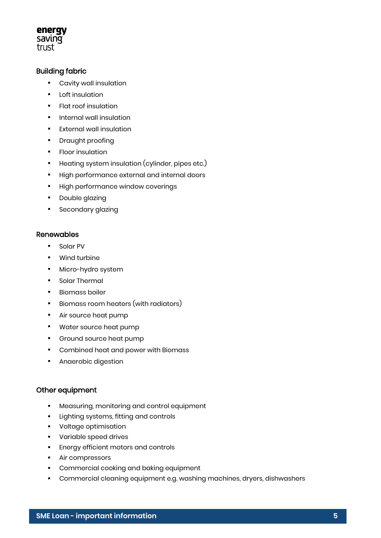#### energy saving trust

#### Building fabric

- Cavity wall insulation
- **•** Loft insulation
- **Figst roof insulation**
- **Internal wall insulation**
- **External wall insulation**
- **•** Draught proofing
- **FIGOT insulation**
- **•** Heating system insulation (cylinder, pipes etc.)
- **High performance external and internal doors**
- **High performance window coverings**
- **•** Double glazing
- **Secondary glazing**

#### Renewables

- **Solar PV**
- **•** Wind turbine
- **Micro-hydro system**
- **•** Solar Thermal
- **Biomass boiler**
- **Biomass room heaters (with radiators)**
- Air source heat pump
- Water source heat pump
- **•** Ground source heat pump
- **Combined heat and power with Biomass**
- **Anaerobic digestion**

#### Other equipment

- **Measuring, monitoring and control equipment**
- **Lighting systems, fitting and controls**
- **•** Voltage optimisation
- Variable speed drives
- **Energy efficient motors and controls**
- **Air compressors**
- **•** Commercial cooking and baking equipment
- Commercial cleaning equipment e.g. washing machines, dryers, dishwashers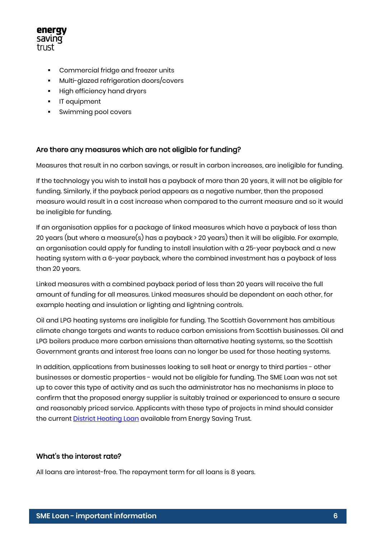

- Commercial fridge and freezer units
- **Multi-glazed refrigeration doors/covers**
- **High efficiency hand dryers**
- **IT** equipment
- **Swimming pool covers**

#### Are there any measures which are not eligible for funding?

Measures that result in no carbon savings, or result in carbon increases, are ineligible for funding.

If the technology you wish to install has a payback of more than 20 years, it will not be eligible for funding. Similarly, if the payback period appears as a negative number, then the proposed measure would result in a cost increase when compared to the current measure and so it would be ineligible for funding.

If an organisation applies for a package of linked measures which have a payback of less than 20 years (but where a measure(s) has a payback > 20 years) then it will be eligible. For example, an organisation could apply for funding to install insulation with a 25-year payback and a new heating system with a 6-year payback, where the combined investment has a payback of less than 20 years.

Linked measures with a combined payback period of less than 20 years will receive the full amount of funding for all measures. Linked measures should be dependent on each other, for example heating and insulation or lighting and lightning controls.

Oil and LPG heating systems are ineligible for funding. The Scottish Government has ambitious climate change targets and wants to reduce carbon emissions from Scottish businesses. Oil and LPG boilers produce more carbon emissions than alternative heating systems, so the Scottish Government grants and interest free loans can no longer be used for those heating systems.

In addition, applications from businesses looking to sell heat or energy to third parties - other businesses or domestic properties - would not be eligible for funding. The SME Loan was not set up to cover this type of activity and as such the administrator has no mechanisms in place to confirm that the proposed energy supplier is suitably trained or experienced to ensure a secure and reasonably priced service. Applicants with these type of projects in mind should consider the current **District Heating Loan** available from Energy Saving Trust.

#### What's the interest rate?

All loans are interest-free. The repayment term for all loans is 8 years.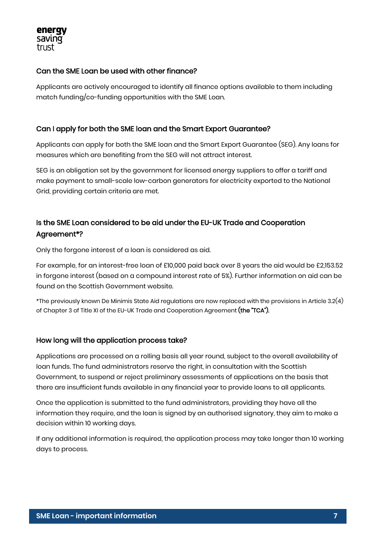

#### Can the SME Loan be used with other finance?

Applicants are actively encouraged to identify all finance options available to them including match funding/co-funding opportunities with the SME Loan.

#### Can I apply for both the SME loan and the Smart Export Guarantee?

Applicants can apply for both the SME loan and the Smart Export Guarantee (SEG). Any loans for measures which are benefiting from the SEG will not attract interest.

SEG is an obligation set by the government for licensed energy suppliers to offer a tariff and make payment to small-scale low-carbon generators for electricity exported to the National Grid, providing certain criteria are met.

#### Is the SME Loan considered to be aid under the EU-UK Trade and Cooperation Agreement\*?

Only the forgone interest of a loan is considered as aid.

For example, for an interest-free loan of £10,000 paid back over 8 years the aid would be £2,153.52 in forgone interest (based on a compound interest rate of 5%). Further information on aid can be found on the Scottish Government website.

\*The previously known De Minimis State Aid regulations are now replaced with the provisions in Article 3.2(4) of Chapter 3 of Title XI of the EU-UK Trade and Cooperation Agreement (the "TCA").

#### How long will the application process take?

Applications are processed on a rolling basis all year round, subject to the overall availability of loan funds. The fund administrators reserve the right, in consultation with the Scottish Government, to suspend or reject preliminary assessments of applications on the basis that there are insufficient funds available in any financial year to provide loans to all applicants.

Once the application is submitted to the fund administrators, providing they have all the information they require, and the loan is signed by an authorised signatory, they aim to make a decision within 10 working days.

If any additional information is required, the application process may take longer than 10 working days to process.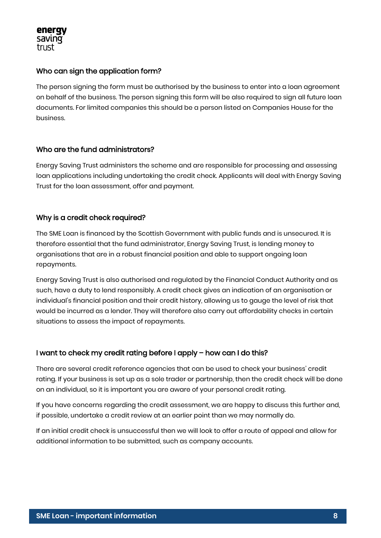

#### Who can sign the application form?

The person signing the form must be authorised by the business to enter into a loan agreement on behalf of the business. The person signing this form will be also required to sign all future loan documents. For limited companies this should be a person listed on Companies House for the business.

#### Who are the fund administrators?

Energy Saving Trust administers the scheme and are responsible for processing and assessing loan applications including undertaking the credit check. Applicants will deal with Energy Saving Trust for the loan assessment, offer and payment.

#### Why is a credit check required?

The SME Loan is financed by the Scottish Government with public funds and is unsecured. It is therefore essential that the fund administrator, Energy Saving Trust, is lending money to organisations that are in a robust financial position and able to support ongoing loan repayments.

Energy Saving Trust is also authorised and regulated by the Financial Conduct Authority and as such, have a duty to lend responsibly. A credit check gives an indication of an organisation or individual's financial position and their credit history, allowing us to gauge the level of risk that would be incurred as a lender. They will therefore also carry out affordability checks in certain situations to assess the impact of repayments.

#### I want to check my credit rating before I apply – how can I do this?

There are several credit reference agencies that can be used to check your business' credit rating. If your business is set up as a sole trader or partnership, then the credit check will be done on an individual, so it is important you are aware of your personal credit rating.

If you have concerns regarding the credit assessment, we are happy to discuss this further and, if possible, undertake a credit review at an earlier point than we may normally do.

If an initial credit check is unsuccessful then we will look to offer a route of appeal and allow for additional information to be submitted, such as company accounts.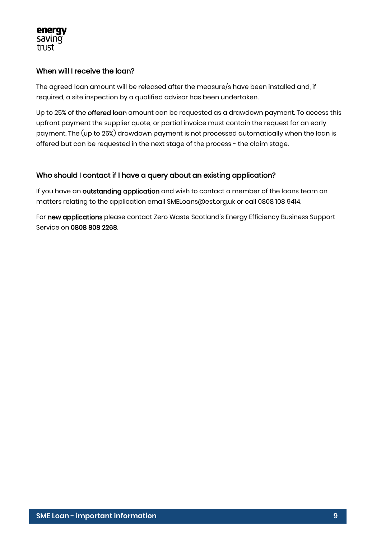

#### When will I receive the loan?

The agreed loan amount will be released after the measure/s have been installed and, if required, a site inspection by a qualified advisor has been undertaken.

Up to 25% of the offered loan amount can be requested as a drawdown payment. To access this upfront payment the supplier quote, or partial invoice must contain the request for an early payment. The (up to 25%) drawdown payment is not processed automatically when the loan is offered but can be requested in the next stage of the process - the claim stage.

#### Who should I contact if I have a query about an existing application?

If you have an outstanding application and wish to contact a member of the loans team on matters relating to the application email SMELoans@est.org.uk or call 0808 108 9414.

For new applications please contact Zero Waste Scotland's Energy Efficiency Business Support Service on 0808 808 2268.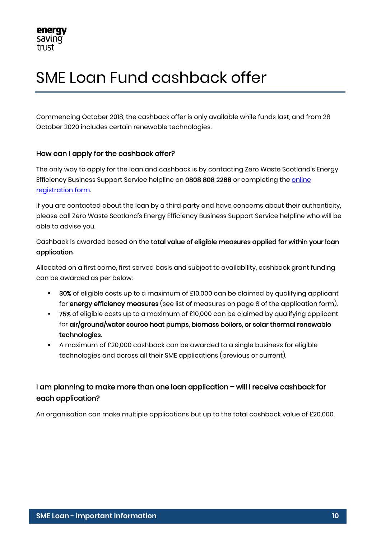## SME Loan Fund cashback offer

Commencing October 2018, the cashback offer is only available while funds last, and from 28 October 2020 includes certain renewable technologies.

#### How can I apply for the cashback offer?

The only way to apply for the loan and cashback is by contacting Zero Waste Scotland's Energy Efficiency Business Support Service helpline on 0808 808 2268 or completing the online [registration form.](https://energy.zerowastescotland.org.uk/SMELoan) 

If you are contacted about the loan by a third party and have concerns about their authenticity, please call Zero Waste Scotland's Energy Efficiency Business Support Service helpline who will be able to advise you.

Cashback is awarded based on the total value of eligible measures applied for within your loan application.

Allocated on a first come, first served basis and subject to availability, cashback grant funding can be awarded as per below:

- 30% of eligible costs up to a maximum of £10,000 can be claimed by qualifying applicant for energy efficiency measures (see list of measures on page 8 of the application form).
- 75% of eligible costs up to a maximum of £10,000 can be claimed by qualifying applicant for air/ground/water source heat pumps, biomass boilers, or solar thermal renewable technologies.
- A maximum of £20,000 cashback can be awarded to a single business for eligible technologies and across all their SME applications (previous or current).

#### I am planning to make more than one loan application – will I receive cashback for each application?

An organisation can make multiple applications but up to the total cashback value of £20,000.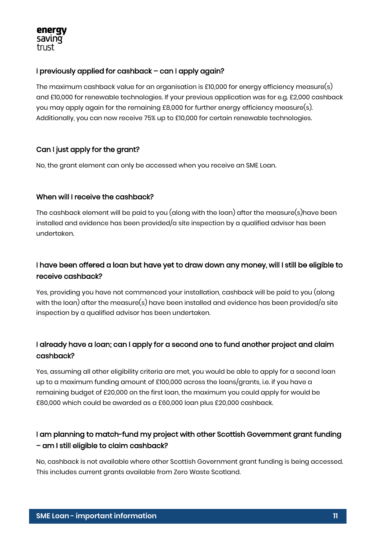#### energy saving trust

#### I previously applied for cashback – can I apply again?

The maximum cashback value for an organisation is £10,000 for energy efficiency measure(s) and £10,000 for renewable technologies. If your previous application was for e.g. £2,000 cashback you may apply again for the remaining £8,000 for further energy efficiency measure(s). Additionally, you can now receive 75% up to £10,000 for certain renewable technologies.

#### Can I just apply for the grant?

No, the grant element can only be accessed when you receive an SME Loan.

#### When will I receive the cashback?

The cashback element will be paid to you (along with the loan) after the measure(s)have been installed and evidence has been provided/a site inspection by a qualified advisor has been undertaken.

#### I have been offered a loan but have yet to draw down any money, will I still be eligible to receive cashback?

Yes, providing you have not commenced your installation, cashback will be paid to you (along with the loan) after the measure(s) have been installed and evidence has been provided/a site inspection by a qualified advisor has been undertaken.

#### I already have a loan; can I apply for a second one to fund another project and claim cashback?

Yes, assuming all other eligibility criteria are met, you would be able to apply for a second loan up to a maximum funding amount of £100,000 across the loans/grants, i.e. if you have a remaining budget of £20,000 on the first loan, the maximum you could apply for would be £80,000 which could be awarded as a £60,000 loan plus £20,000 cashback.

#### I am planning to match-fund my project with other Scottish Government grant funding – am I still eligible to claim cashback?

No, cashback is not available where other Scottish Government grant funding is being accessed. This includes current grants available from Zero Waste Scotland.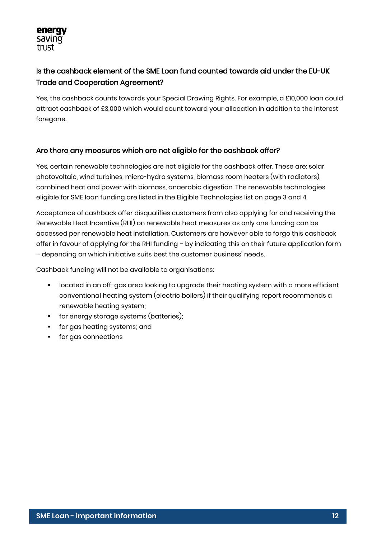#### Is the cashback element of the SME Loan fund counted towards aid under the EU-UK Trade and Cooperation Agreement?

Yes, the cashback counts towards your Special Drawing Rights. For example, a £10,000 loan could attract cashback of £3,000 which would count toward your allocation in addition to the interest foregone.

#### Are there any measures which are not eligible for the cashback offer?

Yes, certain renewable technologies are not eligible for the cashback offer. These are: solar photovoltaic, wind turbines, micro-hydro systems, biomass room heaters (with radiators), combined heat and power with biomass, anaerobic digestion. The renewable technologies eligible for SME loan funding are listed in the Eligible Technologies list on page 3 and 4.

Acceptance of cashback offer disqualifies customers from also applying for and receiving the Renewable Heat Incentive (RHI) on renewable heat measures as only one funding can be accessed per renewable heat installation. Customers are however able to forgo this cashback offer in favour of applying for the RHI funding – by indicating this on their future application form – depending on which initiative suits best the customer business' needs.

Cashback funding will not be available to organisations:

- located in an off-gas area looking to upgrade their heating system with a more efficient conventional heating system (electric boilers) if their qualifying report recommends a renewable heating system;
- **for energy storage systems (batteries);**
- for gas heating systems; and
- **for gas connections**